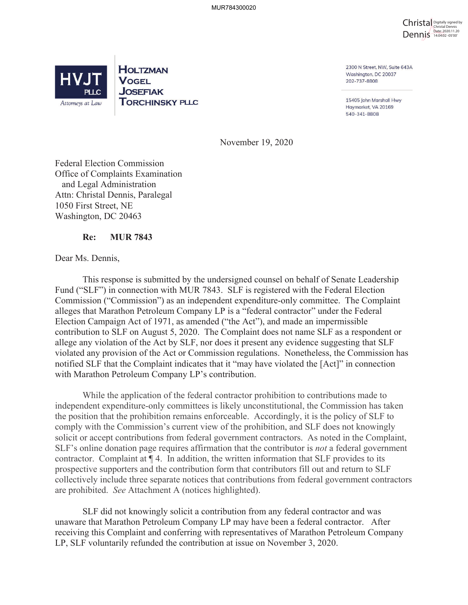



**HOLTZMAN VOGEL JOSEFIAK TORCHINSKY PLLC**  2300 N Street, NW, Suite 643A Washington, DC 20037 202-737-8808

15405 John Marshall Hwy Haymarket, VA 20169 540-341-8808

November 19, 2020

Federal Election Commission Office of Complaints Examination and Legal Administration Attn: Christal Dennis, Paralegal 1050 First Street, NE Washington, DC 20463

### **Re: MUR 7843**

Dear Ms. Dennis,

This response is submitted by the undersigned counsel on behalf of Senate Leadership Fund ("SLF") in connection with MUR 7843. SLF is registered with the Federal Election Commission ("Commission") as an independent expenditure-only committee. The Complaint alleges that Marathon Petroleum Company LP is a "federal contractor" under the Federal Election Campaign Act of 1971, as amended ("the Act"), and made an impermissible contribution to SLF on August 5, 2020. The Complaint does not name SLF as a respondent or allege any violation of the Act by SLF, nor does it present any evidence suggesting that SLF violated any provision of the Act or Commission regulations. Nonetheless, the Commission has notified SLF that the Complaint indicates that it "may have violated the [Act]" in connection with Marathon Petroleum Company LP's contribution.

While the application of the federal contractor prohibition to contributions made to independent expenditure-only committees is likely unconstitutional, the Commission has taken the position that the prohibition remains enforceable. Accordingly, it is the policy of SLF to comply with the Commission's current view of the prohibition, and SLF does not knowingly solicit or accept contributions from federal government contractors. As noted in the Complaint, SLF's online donation page requires affirmation that the contributor is *not* a federal government contractor. Complaint at ¶ 4. In addition, the written information that SLF provides to its prospective supporters and the contribution form that contributors fill out and return to SLF collectively include three separate notices that contributions from federal government contractors are prohibited. *See* Attachment A (notices highlighted).

SLF did not knowingly solicit a contribution from any federal contractor and was unaware that Marathon Petroleum Company LP may have been a federal contractor. After receiving this Complaint and conferring with representatives of Marathon Petroleum Company LP, SLF voluntarily refunded the contribution at issue on November 3, 2020.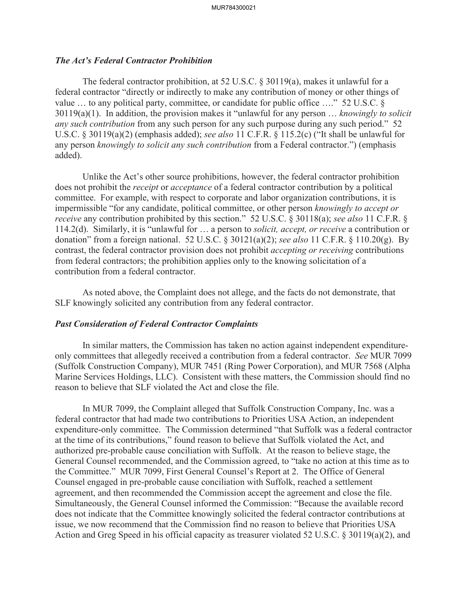### *The Act's Federal Contractor Prohibition*

The federal contractor prohibition, at 52 U.S.C.  $\S 30119(a)$ , makes it unlawful for a federal contractor "directly or indirectly to make any contribution of money or other things of value ... to any political party, committee, or candidate for public office ...." 52 U.S.C. § 30119(a)(1). In addition, the provision makes it "unlawful for any person … *knowingly to solicit any such contribution* from any such person for any such purpose during any such period." 52 U.S.C. § 30119(a)(2) (emphasis added); *see also* 11 C.F.R. § 115.2(c) ("It shall be unlawful for any person *knowingly to solicit any such contribution* from a Federal contractor.") (emphasis added).

Unlike the Act's other source prohibitions, however, the federal contractor prohibition does not prohibit the *receipt* or *acceptance* of a federal contractor contribution by a political committee. For example, with respect to corporate and labor organization contributions, it is impermissible "for any candidate, political committee, or other person *knowingly to accept or receive* any contribution prohibited by this section." 52 U.S.C. § 30118(a); *see also* 11 C.F.R. § 114.2(d). Similarly, it is "unlawful for … a person to *solicit, accept, or receive* a contribution or donation" from a foreign national. 52 U.S.C. § 30121(a)(2); *see also* 11 C.F.R. § 110.20(g). By contrast, the federal contractor provision does not prohibit *accepting or receiving* contributions from federal contractors; the prohibition applies only to the knowing solicitation of a contribution from a federal contractor.

As noted above, the Complaint does not allege, and the facts do not demonstrate, that SLF knowingly solicited any contribution from any federal contractor.

#### *Past Consideration of Federal Contractor Complaints*

In similar matters, the Commission has taken no action against independent expenditureonly committees that allegedly received a contribution from a federal contractor. *See* MUR 7099 (Suffolk Construction Company), MUR 7451 (Ring Power Corporation), and MUR 7568 (Alpha Marine Services Holdings, LLC). Consistent with these matters, the Commission should find no reason to believe that SLF violated the Act and close the file.

In MUR 7099, the Complaint alleged that Suffolk Construction Company, Inc. was a federal contractor that had made two contributions to Priorities USA Action, an independent expenditure-only committee. The Commission determined "that Suffolk was a federal contractor at the time of its contributions," found reason to believe that Suffolk violated the Act, and authorized pre-probable cause conciliation with Suffolk. At the reason to believe stage, the General Counsel recommended, and the Commission agreed, to "take no action at this time as to the Committee." MUR 7099, First General Counsel's Report at 2. The Office of General Counsel engaged in pre-probable cause conciliation with Suffolk, reached a settlement agreement, and then recommended the Commission accept the agreement and close the file. Simultaneously, the General Counsel informed the Commission: "Because the available record does not indicate that the Committee knowingly solicited the federal contractor contributions at issue, we now recommend that the Commission find no reason to believe that Priorities USA Action and Greg Speed in his official capacity as treasurer violated 52 U.S.C. § 30119(a)(2), and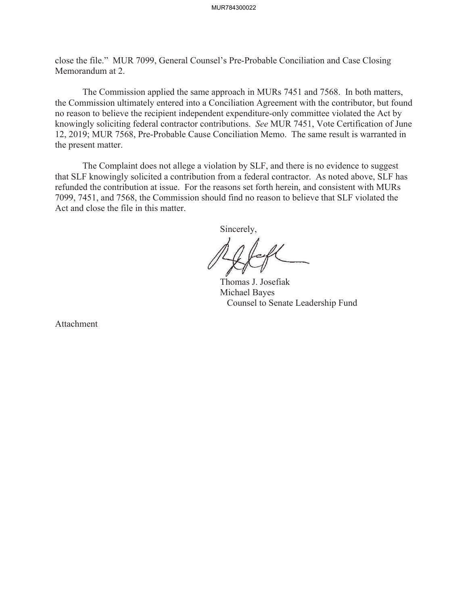close the file." MUR 7099, General Counsel's Pre-Probable Conciliation and Case Closing Memorandum at 2.

The Commission applied the same approach in MURs 7451 and 7568. In both matters, the Commission ultimately entered into a Conciliation Agreement with the contributor, but found no reason to believe the recipient independent expenditure-only committee violated the Act by knowingly soliciting federal contractor contributions. *See* MUR 7451, Vote Certification of June 12, 2019; MUR 7568, Pre-Probable Cause Conciliation Memo. The same result is warranted in the present matter.

The Complaint does not allege a violation by SLF, and there is no evidence to suggest that SLF knowingly solicited a contribution from a federal contractor. As noted above, SLF has refunded the contribution at issue. For the reasons set forth herein, and consistent with MURs 7099, 7451, and 7568, the Commission should find no reason to believe that SLF violated the Act and close the file in this matter.

Sincerely,

 Thomas J. Josefiak Michael Bayes Counsel to Senate Leadership Fund

Attachment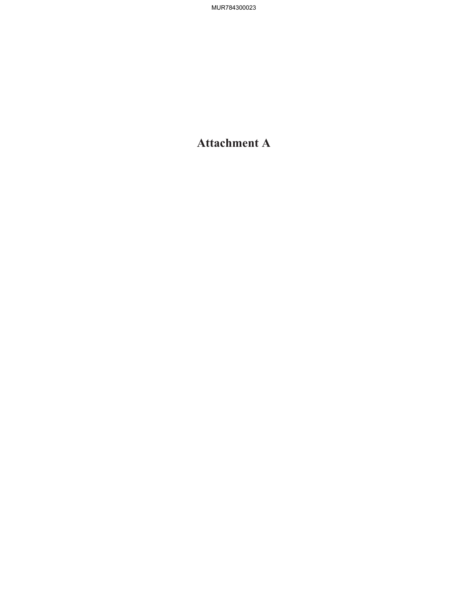# **Attachment A**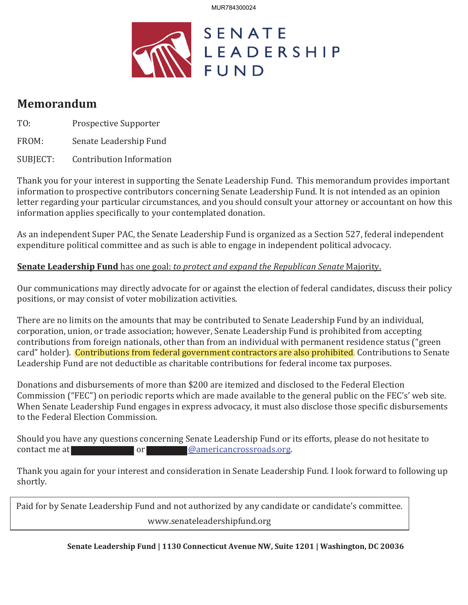

## **Memorandum**

TO: Prospective Supporter

FROM: Senate Leadership Fund

SUBJECT: Contribution Information

Thank you for your interest in supporting the Senate Leadership Fund. This memorandum provides important information to prospective contributors concerning Senate Leadership Fund. It is not intended as an opinion letter regarding your particular circumstances, and you should consult your attorney or accountant on how this information applies specifically to your contemplated donation.

As an independent Super PAC, the Senate Leadership Fund is organized as a Section 527, federal independent expenditure political committee and as such is able to engage in independent political advocacy.

## **Senate Leadership Fund** has one goal: to protect and expand the Republican Senate Majority.

Our communications may directly advocate for or against the election of federal candidates, discuss their policy positions, or may consist of voter mobilization activities.

There are no limits on the amounts that may be contributed to Senate Leadership Fund by an individual, corporation, union, or trade association; however, Senate Leadership Fund is prohibited from accepting contributions from foreign nationals, other than from an individual with permanent residence status ("green card" holder). Contributions from federal government contractors are also prohibited. Contributions to Senate Leadership Fund are not deductible as charitable contributions for federal income tax purposes.

Donations and disbursements of more than \$200 are itemized and disclosed to the Federal Election Commission ("FEC") on periodic reports which are made available to the general public on the FEC's' web site. When Senate Leadership Fund engages in express advocacy, it must also disclose those specific disbursements to the Federal Election Commission.

Should you have any questions concerning Senate Leadership Fund or its efforts, please do not hesitate to contact me at a state of the contact me at a state of the contact me at a state of the contact me at a state of the contact me at  $\omega$  or  $\omega$ 

Thank you again for your interest and consideration in Senate Leadership Fund. I look forward to following up shortly.

Paid for by Senate Leadership Fund and not authorized by any candidate or candidate's committee. www.senateleadershipfund.org

**Senate Leadership Fund | 1130 Connecticut Avenue NW, Suite 1201 | Washington, DC 20036**